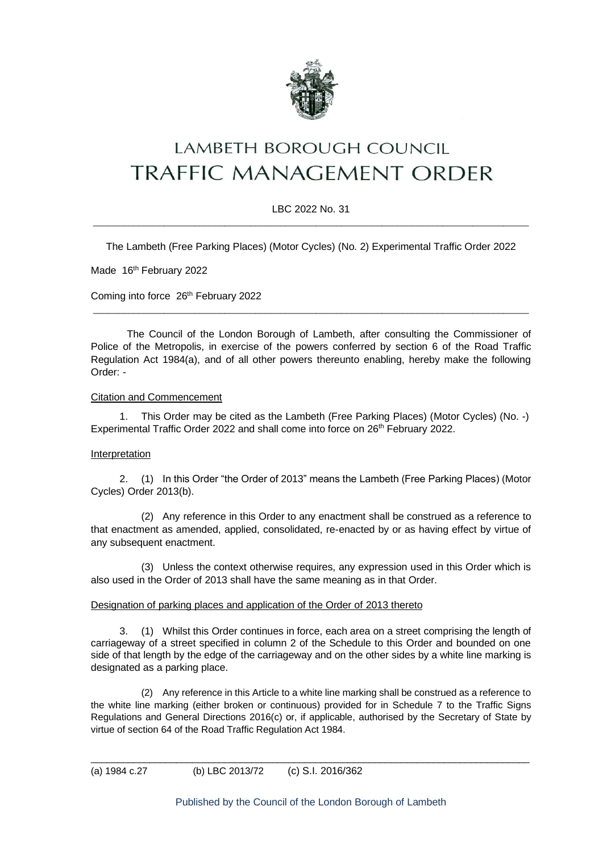

# **LAMBETH BOROUGH COUNCIL** TRAFFIC MANAGEMENT ORDER

## LBC 2022 No. 31  $\_$  ,  $\_$  ,  $\_$  ,  $\_$  ,  $\_$  ,  $\_$  ,  $\_$  ,  $\_$  ,  $\_$  ,  $\_$  ,  $\_$  ,  $\_$  ,  $\_$  ,  $\_$  ,  $\_$  ,  $\_$  ,  $\_$  ,  $\_$  ,  $\_$  ,  $\_$  ,  $\_$  ,  $\_$  ,  $\_$  ,  $\_$  ,  $\_$  ,  $\_$  ,  $\_$  ,  $\_$  ,  $\_$  ,  $\_$  ,  $\_$  ,  $\_$  ,  $\_$  ,  $\_$  ,  $\_$  ,  $\_$  ,  $\_$  ,

The Lambeth (Free Parking Places) (Motor Cycles) (No. 2) Experimental Traffic Order 2022

Made 16<sup>th</sup> February 2022

Coming into force 26<sup>th</sup> February 2022

The Council of the London Borough of Lambeth, after consulting the Commissioner of Police of the Metropolis, in exercise of the powers conferred by section 6 of the Road Traffic Regulation Act 1984(a), and of all other powers thereunto enabling, hereby make the following Order: -

 $\_$  ,  $\_$  ,  $\_$  ,  $\_$  ,  $\_$  ,  $\_$  ,  $\_$  ,  $\_$  ,  $\_$  ,  $\_$  ,  $\_$  ,  $\_$  ,  $\_$  ,  $\_$  ,  $\_$  ,  $\_$  ,  $\_$  ,  $\_$  ,  $\_$  ,  $\_$  ,  $\_$  ,  $\_$  ,  $\_$  ,  $\_$  ,  $\_$  ,  $\_$  ,  $\_$  ,  $\_$  ,  $\_$  ,  $\_$  ,  $\_$  ,  $\_$  ,  $\_$  ,  $\_$  ,  $\_$  ,  $\_$  ,  $\_$  ,

#### Citation and Commencement

1. This Order may be cited as the Lambeth (Free Parking Places) (Motor Cycles) (No. -) Experimental Traffic Order 2022 and shall come into force on 26th February 2022.

#### Interpretation

2. (1) In this Order "the Order of 2013" means the Lambeth (Free Parking Places) (Motor Cycles) Order 2013(b).

(2) Any reference in this Order to any enactment shall be construed as a reference to that enactment as amended, applied, consolidated, re-enacted by or as having effect by virtue of any subsequent enactment.

(3) Unless the context otherwise requires, any expression used in this Order which is also used in the Order of 2013 shall have the same meaning as in that Order.

#### Designation of parking places and application of the Order of 2013 thereto

3. (1) Whilst this Order continues in force, each area on a street comprising the length of carriageway of a street specified in column 2 of the Schedule to this Order and bounded on one side of that length by the edge of the carriageway and on the other sides by a white line marking is designated as a parking place.

(2) Any reference in this Article to a white line marking shall be construed as a reference to the white line marking (either broken or continuous) provided for in Schedule 7 to the Traffic Signs Regulations and General Directions 2016(c) or, if applicable, authorised by the Secretary of State by virtue of section 64 of the Road Traffic Regulation Act 1984.

\_\_\_\_\_\_\_\_\_\_\_\_\_\_\_\_\_\_\_\_\_\_\_\_\_\_\_\_\_\_\_\_\_\_\_\_\_\_\_\_\_\_\_\_\_\_\_\_\_\_\_\_\_\_\_\_\_\_\_\_\_\_\_\_\_\_\_\_\_\_\_\_\_\_\_\_\_\_\_\_\_\_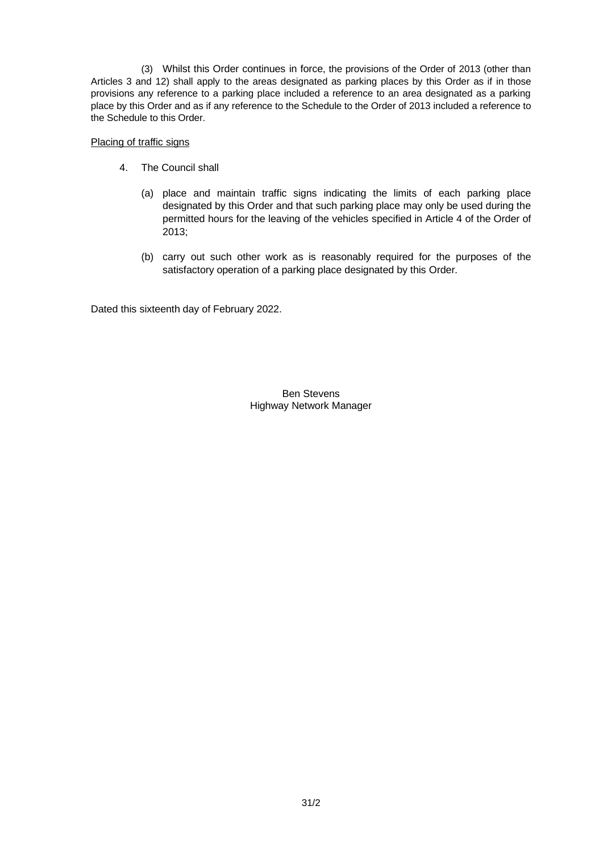(3) Whilst this Order continues in force, the provisions of the Order of 2013 (other than Articles 3 and 12) shall apply to the areas designated as parking places by this Order as if in those provisions any reference to a parking place included a reference to an area designated as a parking place by this Order and as if any reference to the Schedule to the Order of 2013 included a reference to the Schedule to this Order.

### Placing of traffic signs

- 4. The Council shall
	- (a) place and maintain traffic signs indicating the limits of each parking place designated by this Order and that such parking place may only be used during the permitted hours for the leaving of the vehicles specified in Article 4 of the Order of 2013;
	- (b) carry out such other work as is reasonably required for the purposes of the satisfactory operation of a parking place designated by this Order.

Dated this sixteenth day of February 2022.

Ben Stevens Highway Network Manager